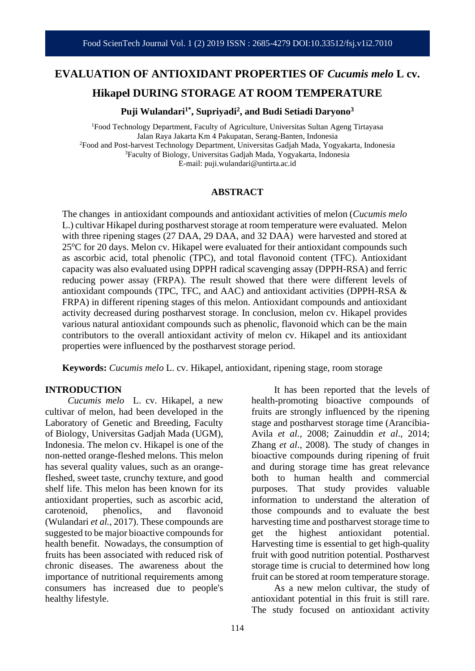# **EVALUATION OF ANTIOXIDANT PROPERTIES OF** *Cucumis melo* **L cv.**

# **Hikapel DURING STORAGE AT ROOM TEMPERATURE**

**Puji Wulandari1\* , Supriyadi<sup>2</sup> , and Budi Setiadi Daryono<sup>3</sup>**

<sup>1</sup>Food Technology Department, Faculty of Agriculture, Universitas Sultan Ageng Tirtayasa Jalan Raya Jakarta Km 4 Pakupatan, Serang-Banten, Indonesia <sup>2</sup>Food and Post-harvest Technology Department, Universitas Gadjah Mada, Yogyakarta, Indonesia <sup>3</sup>Faculty of Biology, Universitas Gadjah Mada, Yogyakarta, Indonesia E-mail: puji.wulandari@untirta.ac.id

#### **ABSTRACT**

The changes in antioxidant compounds and antioxidant activities of melon (*Cucumis melo* L.) cultivar Hikapel during postharvest storage at room temperature were evaluated. Melon with three ripening stages (27 DAA, 29 DAA, and 32 DAA) were harvested and stored at  $25^{\circ}$ C for 20 days. Melon cv. Hikapel were evaluated for their antioxidant compounds such as ascorbic acid, total phenolic (TPC), and total flavonoid content (TFC). Antioxidant capacity was also evaluated using DPPH radical scavenging assay (DPPH-RSA) and ferric reducing power assay (FRPA). The result showed that there were different levels of antioxidant compounds (TPC, TFC, and AAC) and antioxidant activities (DPPH-RSA & FRPA) in different ripening stages of this melon. Antioxidant compounds and antioxidant activity decreased during postharvest storage. In conclusion, melon cv. Hikapel provides various natural antioxidant compounds such as phenolic, flavonoid which can be the main contributors to the overall antioxidant activity of melon cv. Hikapel and its antioxidant properties were influenced by the postharvest storage period.

**Keywords:** *Cucumis melo* L. cv. Hikapel, antioxidant, ripening stage, room storage

#### **INTRODUCTION**

*Cucumis melo* L. cv. Hikapel, a new cultivar of melon, had been developed in the Laboratory of Genetic and Breeding, Faculty of Biology, Universitas Gadjah Mada (UGM), Indonesia. The melon cv. Hikapel is one of the non-netted orange-fleshed melons. This melon has several quality values, such as an orangefleshed, sweet taste, crunchy texture, and good shelf life. This melon has been known for its antioxidant properties, such as ascorbic acid, carotenoid, phenolics, and flavonoid (Wulandari *et al.*, 2017). These compounds are suggested to be major bioactive compounds for health benefit. Nowadays, the consumption of fruits has been associated with reduced risk of chronic diseases. The awareness about the importance of nutritional requirements among consumers has increased due to people's healthy lifestyle.

It has been reported that the levels of health-promoting bioactive compounds of fruits are strongly influenced by the ripening stage and postharvest storage time (Arancibia-Avila *et al.*, 2008; Zainuddin *et al*., 2014; Zhang *et al*., 2008). The study of changes in bioactive compounds during ripening of fruit and during storage time has great relevance both to human health and commercial purposes. That study provides valuable information to understand the alteration of those compounds and to evaluate the best harvesting time and postharvest storage time to get the highest antioxidant potential. Harvesting time is essential to get high-quality fruit with good nutrition potential. Postharvest storage time is crucial to determined how long fruit can be stored at room temperature storage.

As a new melon cultivar, the study of antioxidant potential in this fruit is still rare. The study focused on antioxidant activity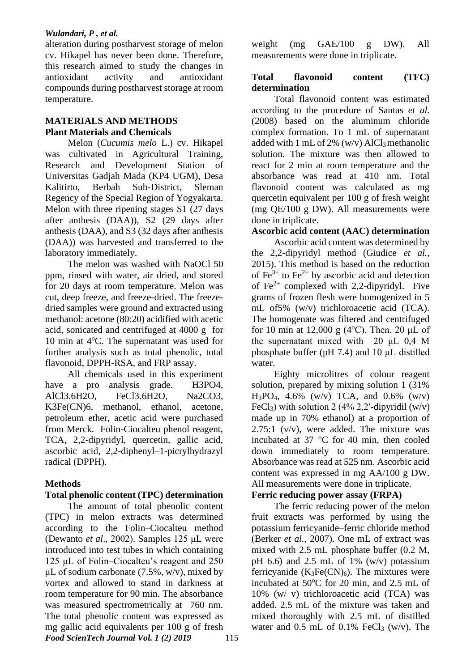#### *Wulandari, P , et al.*

alteration during postharvest storage of melon cv. Hikapel has never been done. Therefore, this research aimed to study the changes in antioxidant activity and antioxidant compounds during postharvest storage at room temperature.

### **MATERIALS AND METHODS Plant Materials and Chemicals**

Melon (*Cucumis melo* L.) cv. Hikapel was cultivated in Agricultural Training, Research and Development Station of Universitas Gadjah Mada (KP4 UGM), Desa Kalitirto, Berbah Sub-District, Sleman Regency of the Special Region of Yogyakarta. Melon with three ripening stages S1 (27 days after anthesis (DAA)), S2 (29 days after anthesis (DAA), and S3 (32 days after anthesis (DAA)) was harvested and transferred to the laboratory immediately.

The melon was washed with NaOCl 50 ppm, rinsed with water, air dried, and stored for 20 days at room temperature. Melon was cut, deep freeze, and freeze-dried. The freezedried samples were ground and extracted using methanol: acetone (80:20) acidified with acetic acid, sonicated and centrifuged at 4000 g for 10 min at  $4^{\circ}$ C. The supernatant was used for further analysis such as total phenolic, total flavonoid, DPPH-RSA, and FRP assay.

All chemicals used in this experiment have a pro analysis grade. H3PO4, AlCl3.6H2O, FeCl3.6H2O, Na2CO3, K3Fe(CN)6, methanol, ethanol, acetone, petroleum ether, acetic acid were purchased from Merck. Folin-Ciocalteu phenol reagent, TCA, 2,2-dipyridyl, quercetin, gallic acid, ascorbic acid, 2,2-diphenyl–1-picrylhydrazyl radical (DPPH).

## **Methods**

## **Total phenolic content (TPC) determination**

*Food ScienTech Journal Vol. 1 (2) 2019* 115 The amount of total phenolic content (TPC) in melon extracts was determined according to the Folin–Ciocalteu method (Dewanto *et al*., 2002). Samples 125 μL were introduced into test tubes in which containing 125 μL of Folin–Ciocalteu's reagent and 250 uL of sodium carbonate  $(7.5\% \cdot w/v)$ , mixed by vortex and allowed to stand in darkness at room temperature for 90 min. The absorbance was measured spectrometrically at 760 nm. The total phenolic content was expressed as mg gallic acid equivalents per 100 g of fresh

weight (mg GAE/100 g DW). All measurements were done in triplicate.

## **Total flavonoid content (TFC) determination**

Total flavonoid content was estimated according to the procedure of Santas *et al.* (2008) based on the aluminum chloride complex formation. To 1 mL of supernatant added with 1 mL of 2%  $(w/v)$  AlCl<sub>3</sub> methanolic solution. The mixture was then allowed to react for 2 min at room temperature and the absorbance was read at 410 nm. Total flavonoid content was calculated as mg quercetin equivalent per 100 g of fresh weight (mg QE/100 g DW). All measurements were done in triplicate.

### **Ascorbic acid content (AAC) determination**

Ascorbic acid content was determined by the 2,2-dipyridyl method (Giudice *et al.,* 2015). This method is based on the reduction of  $Fe^{3+}$  to  $Fe^{2+}$  by ascorbic acid and detection of  $Fe<sup>2+</sup>$  complexed with 2,2-dipyridyl. Five grams of frozen flesh were homogenized in 5 mL of5% (w/v) trichloroacetic acid (TCA). The homogenate was filtered and centrifuged for 10 min at 12,000 g (4 $^{\circ}$ C). Then, 20 µL of the supernatant mixed with 20 μL 0,4 M phosphate buffer (pH 7.4) and 10 μL distilled water.

Eighty microlitres of colour reagent solution, prepared by mixing solution 1 (31%  $H_3PO_4$ , 4.6% (w/v) TCA, and 0.6% (w/v) FeCl<sub>3</sub>) with solution 2 (4% 2,2'-dipyridil  $(w/v)$ ) made up in 70% ethanol) at a proportion of  $2.75:1$  (v/v), were added. The mixture was incubated at 37 °C for 40 min, then cooled down immediately to room temperature. Absorbance was read at 525 nm. Ascorbic acid content was expressed in mg AA/100 g DW. All measurements were done in triplicate.

#### **Ferric reducing power assay (FRPA)**

The ferric reducing power of the melon fruit extracts was performed by using the potassium ferricyanide–ferric chloride method (Berker *et al.*, 2007). One mL of extract was mixed with 2.5 mL phosphate buffer (0.2 M, pH 6.6) and 2.5 mL of 1%  $(w/v)$  potassium ferricyanide  $(K_3Fe(CN)<sub>6</sub>)$ . The mixtures were incubated at  $50^{\circ}$ C for 20 min, and 2.5 mL of 10% (w/ v) trichloroacetic acid (TCA) was added. 2.5 mL of the mixture was taken and mixed thoroughly with 2.5 mL of distilled water and  $0.5$  mL of  $0.1\%$  FeCl<sub>3</sub> (w/v). The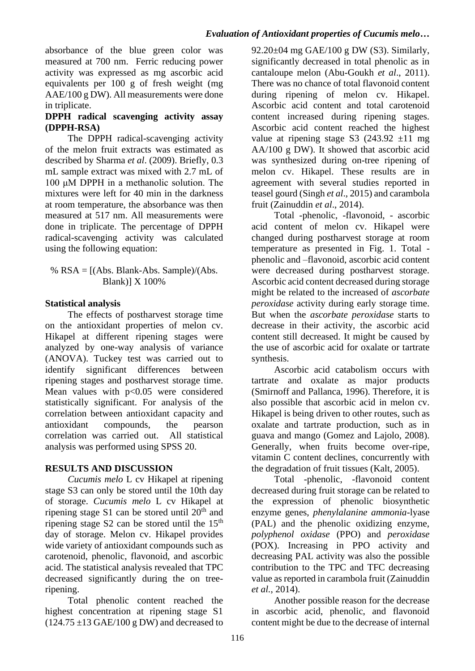absorbance of the blue green color was measured at 700 nm. Ferric reducing power activity was expressed as mg ascorbic acid equivalents per 100 g of fresh weight (mg AAE/100 g DW). All measurements were done in triplicate.

# **DPPH radical scavenging activity assay (DPPH-RSA)**

The DPPH radical-scavenging activity of the melon fruit extracts was estimated as described by Sharma *et al*. (2009). Briefly, 0.3 mL sample extract was mixed with 2.7 mL of 100 μM DPPH in a methanolic solution. The mixtures were left for 40 min in the darkness at room temperature, the absorbance was then measured at 517 nm. All measurements were done in triplicate. The percentage of DPPH radical-scavenging activity was calculated using the following equation:

%  $RSA = [(Abs. Blank-Abs. Sample)/(Abs.$ Blank)] X 100%

# **Statistical analysis**

The effects of postharvest storage time on the antioxidant properties of melon cv. Hikapel at different ripening stages were analyzed by one-way analysis of variance (ANOVA). Tuckey test was carried out to identify significant differences between ripening stages and postharvest storage time. Mean values with  $p<0.05$  were considered statistically significant. For analysis of the correlation between antioxidant capacity and antioxidant compounds, the pearson correlation was carried out. All statistical analysis was performed using SPSS 20.

# **RESULTS AND DISCUSSION**

*Cucumis melo* L cv Hikapel at ripening stage S3 can only be stored until the 10th day of storage. *Cucumis melo* L cv Hikapel at ripening stage S1 can be stored until  $20<sup>th</sup>$  and ripening stage  $S2$  can be stored until the  $15<sup>th</sup>$ day of storage. Melon cv. Hikapel provides wide variety of antioxidant compounds such as carotenoid, phenolic, flavonoid, and ascorbic acid. The statistical analysis revealed that TPC decreased significantly during the on treeripening.

Total phenolic content reached the highest concentration at ripening stage S1  $(124.75 \pm 13 \text{ GAE}/100 \text{ g DW})$  and decreased to

92.20±04 mg GAE/100 g DW (S3). Similarly, significantly decreased in total phenolic as in cantaloupe melon (Abu-Goukh *et al*., 2011). There was no chance of total flavonoid content during ripening of melon cv. Hikapel. Ascorbic acid content and total carotenoid content increased during ripening stages. Ascorbic acid content reached the highest value at ripening stage S3 (243.92  $\pm$ 11 mg) AA/100 g DW). It showed that ascorbic acid was synthesized during on-tree ripening of melon cv. Hikapel. These results are in agreement with several studies reported in teasel gourd (Singh *et al*., 2015) and carambola fruit (Zainuddin *et al*., 2014).

Total -phenolic, -flavonoid, - ascorbic acid content of melon cv. Hikapel were changed during postharvest storage at room temperature as presented in Fig. 1. Total phenolic and –flavonoid, ascorbic acid content were decreased during postharvest storage. Ascorbic acid content decreased during storage might be related to the increased of *ascorbate peroxidase* activity during early storage time. But when the *ascorbate peroxidase* starts to decrease in their activity, the ascorbic acid content still decreased. It might be caused by the use of ascorbic acid for oxalate or tartrate synthesis.

Ascorbic acid catabolism occurs with tartrate and oxalate as major products (Smirnoff and Pallanca, 1996). Therefore, it is also possible that ascorbic acid in melon cv. Hikapel is being driven to other routes, such as oxalate and tartrate production, such as in guava and mango (Gomez and Lajolo, 2008). Generally, when fruits become over-ripe, vitamin C content declines, concurrently with the degradation of fruit tissues (Kalt, 2005).

Total -phenolic, -flavonoid content decreased during fruit storage can be related to the expression of phenolic biosynthetic enzyme genes, *phenylalanine ammonia-*lyase (PAL) and the phenolic oxidizing enzyme, *polyphenol oxidase* (PPO) and *peroxidase* (POX). Increasing in PPO activity and decreasing PAL activity was also the possible contribution to the TPC and TFC decreasing value as reported in carambola fruit (Zainuddin *et al.*, 2014).

Another possible reason for the decrease in ascorbic acid, phenolic, and flavonoid content might be due to the decrease of internal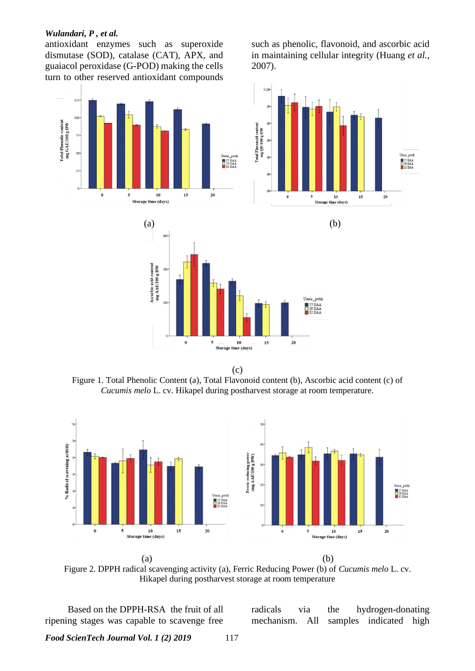#### *Wulandari, P , et al.*

antioxidant enzymes such as superoxide dismutase (SOD), catalase (CAT), APX, and guaiacol peroxidase (G-POD) making the cells turn to other reserved antioxidant compounds such as phenolic, flavonoid, and ascorbic acid in maintaining cellular integrity (Huang *et al.*, 2007).



(c)

Figure 1. Total Phenolic Content (a), Total Flavonoid content (b), Ascorbic acid content (c) of *Cucumis melo* L. cv. Hikapel during postharvest storage at room temperature.



Figure 2. DPPH radical scavenging activity (a), Ferric Reducing Power (b) of *Cucumis melo* L. cv. Hikapel during postharvest storage at room temperature

Based on the DPPH-RSA the fruit of all ripening stages was capable to scavenge free radicals via the hydrogen-donating mechanism. All samples indicated high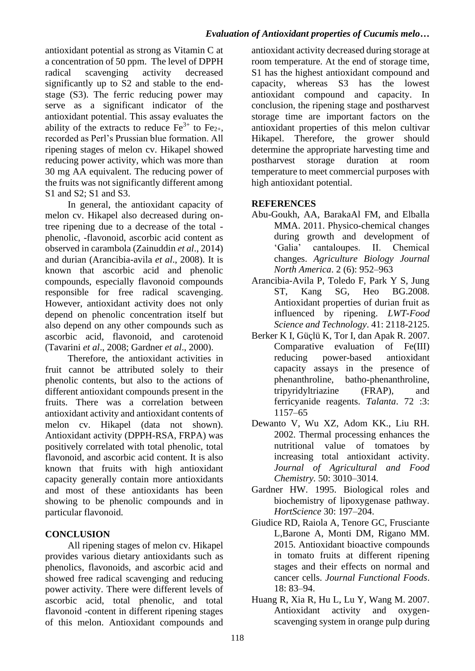antioxidant potential as strong as Vitamin C at a concentration of 50 ppm. The level of DPPH radical scavenging activity decreased significantly up to S2 and stable to the endstage (S3). The ferric reducing power may serve as a significant indicator of the antioxidant potential. This assay evaluates the ability of the extracts to reduce  $Fe^{3+}$  to  $Fe_{2+}$ , recorded as Perl's Prussian blue formation. All ripening stages of melon cv. Hikapel showed reducing power activity, which was more than 30 mg AA equivalent. The reducing power of the fruits was not significantly different among S1 and S2; S1 and S3.

In general, the antioxidant capacity of melon cv. Hikapel also decreased during ontree ripening due to a decrease of the total phenolic, -flavonoid, ascorbic acid content as observed in carambola (Zainuddin *et al*., 2014) and durian (Arancibia-avila *et al*., 2008). It is known that ascorbic acid and phenolic compounds, especially flavonoid compounds responsible for free radical scavenging. However, antioxidant activity does not only depend on phenolic concentration itself but also depend on any other compounds such as ascorbic acid, flavonoid, and carotenoid (Tavarini *et al*., 2008; Gardner *et al*., 2000).

Therefore, the antioxidant activities in fruit cannot be attributed solely to their phenolic contents, but also to the actions of different antioxidant compounds present in the fruits. There was a correlation between antioxidant activity and antioxidant contents of melon cv. Hikapel (data not shown). Antioxidant activity (DPPH-RSA, FRPA) was positively correlated with total phenolic, total flavonoid, and ascorbic acid content. It is also known that fruits with high antioxidant capacity generally contain more antioxidants and most of these antioxidants has been showing to be phenolic compounds and in particular flavonoid.

# **CONCLUSION**

All ripening stages of melon cv. Hikapel provides various dietary antioxidants such as phenolics, flavonoids, and ascorbic acid and showed free radical scavenging and reducing power activity. There were different levels of ascorbic acid, total phenolic, and total flavonoid -content in different ripening stages of this melon. Antioxidant compounds and

antioxidant activity decreased during storage at room temperature. At the end of storage time, S1 has the highest antioxidant compound and capacity, whereas S3 has the lowest antioxidant compound and capacity. In conclusion, the ripening stage and postharvest storage time are important factors on the antioxidant properties of this melon cultivar Hikapel. Therefore, the grower should determine the appropriate harvesting time and postharvest storage duration at room temperature to meet commercial purposes with high antioxidant potential.

## **REFERENCES**

- Abu-Goukh, AA, BarakaAl FM, and Elballa MMA. 2011. Physico-chemical changes during growth and development of 'Galia' cantaloupes. II. Chemical changes. *Agriculture Biology Journal North America*. 2 (6): 952–963
- Arancibia-Avila P, Toledo F, Park Y S, Jung ST, Kang SG, Heo BG.2008. Antioxidant properties of durian fruit as influenced by ripening. *LWT-Food Science and Technology*. 41: 2118-2125.
- Berker K I, Güçlü K, Tor I, dan Apak R. 2007. Comparative evaluation of Fe(III) reducing power-based antioxidant capacity assays in the presence of phenanthroline, batho-phenanthroline, tripyridyltriazine (FRAP), and ferricyanide reagents. *Talanta*. 72 :3: 1157–65
- Dewanto V, Wu XZ, Adom KK., Liu RH. 2002. Thermal processing enhances the nutritional value of tomatoes by increasing total antioxidant activity. *Journal of Agricultural and Food Chemistry.* 50: 3010–3014.
- Gardner HW. 1995. Biological roles and biochemistry of lipoxygenase pathway. *HortScience* 30: 197–204.
- Giudice RD, Raiola A, Tenore GC, Frusciante L,Barone A, Monti DM, Rigano MM. 2015. Antioxidant bioactive compounds in tomato fruits at different ripening stages and their effects on normal and cancer cells. *Journal Functional Foods*. 18: 83–94.
- Huang R, Xia R, Hu L, Lu Y, Wang M. 2007. Antioxidant activity and oxygenscavenging system in orange pulp during